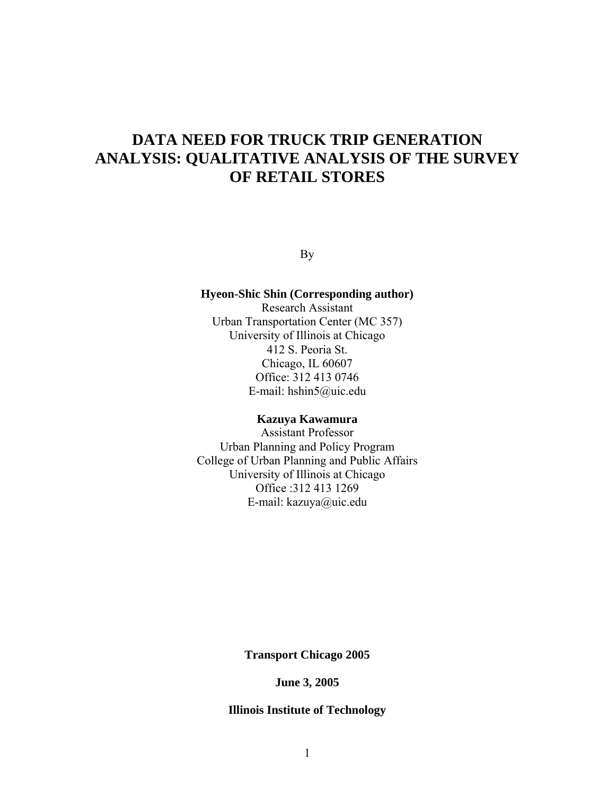# **DATA NEED FOR TRUCK TRIP GENERATION ANALYSIS: QUALITATIVE ANALYSIS OF THE SURVEY OF RETAIL STORES**

By

# **Hyeon-Shic Shin (Corresponding author)**

Research Assistant Urban Transportation Center (MC 357) University of Illinois at Chicago 412 S. Peoria St. Chicago, IL 60607 Office: 312 413 0746 E-mail: hshin5@uic.edu

#### **Kazuya Kawamura**

Assistant Professor Urban Planning and Policy Program College of Urban Planning and Public Affairs University of Illinois at Chicago Office :312 413 1269 E-mail: kazuya@uic.edu

**Transport Chicago 2005** 

**June 3, 2005** 

# **Illinois Institute of Technology**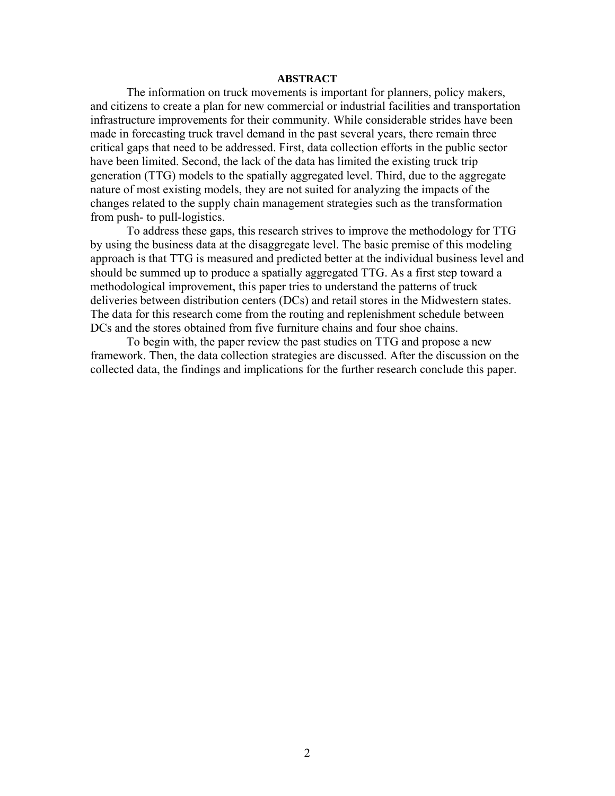#### **ABSTRACT**

The information on truck movements is important for planners, policy makers, and citizens to create a plan for new commercial or industrial facilities and transportation infrastructure improvements for their community. While considerable strides have been made in forecasting truck travel demand in the past several years, there remain three critical gaps that need to be addressed. First, data collection efforts in the public sector have been limited. Second, the lack of the data has limited the existing truck trip generation (TTG) models to the spatially aggregated level. Third, due to the aggregate nature of most existing models, they are not suited for analyzing the impacts of the changes related to the supply chain management strategies such as the transformation from push- to pull-logistics.

To address these gaps, this research strives to improve the methodology for TTG by using the business data at the disaggregate level. The basic premise of this modeling approach is that TTG is measured and predicted better at the individual business level and should be summed up to produce a spatially aggregated TTG. As a first step toward a methodological improvement, this paper tries to understand the patterns of truck deliveries between distribution centers (DCs) and retail stores in the Midwestern states. The data for this research come from the routing and replenishment schedule between DCs and the stores obtained from five furniture chains and four shoe chains.

To begin with, the paper review the past studies on TTG and propose a new framework. Then, the data collection strategies are discussed. After the discussion on the collected data, the findings and implications for the further research conclude this paper.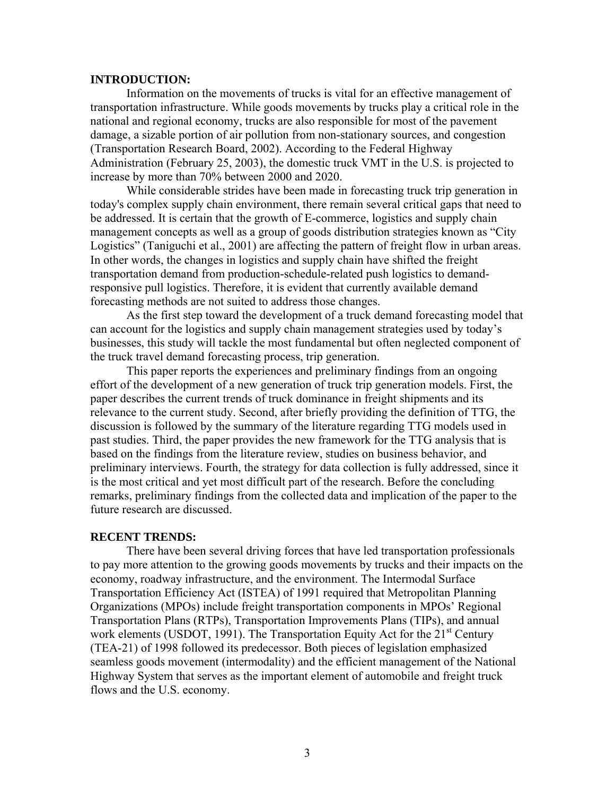### **INTRODUCTION:**

Information on the movements of trucks is vital for an effective management of transportation infrastructure. While goods movements by trucks play a critical role in the national and regional economy, trucks are also responsible for most of the pavement damage, a sizable portion of air pollution from non-stationary sources, and congestion (Transportation Research Board, 2002). According to the Federal Highway Administration (February 25, 2003), the domestic truck VMT in the U.S. is projected to increase by more than 70% between 2000 and 2020.

While considerable strides have been made in forecasting truck trip generation in today's complex supply chain environment, there remain several critical gaps that need to be addressed. It is certain that the growth of E-commerce, logistics and supply chain management concepts as well as a group of goods distribution strategies known as "City Logistics" (Taniguchi et al., 2001) are affecting the pattern of freight flow in urban areas. In other words, the changes in logistics and supply chain have shifted the freight transportation demand from production-schedule-related push logistics to demandresponsive pull logistics. Therefore, it is evident that currently available demand forecasting methods are not suited to address those changes.

As the first step toward the development of a truck demand forecasting model that can account for the logistics and supply chain management strategies used by today's businesses, this study will tackle the most fundamental but often neglected component of the truck travel demand forecasting process, trip generation.

This paper reports the experiences and preliminary findings from an ongoing effort of the development of a new generation of truck trip generation models. First, the paper describes the current trends of truck dominance in freight shipments and its relevance to the current study. Second, after briefly providing the definition of TTG, the discussion is followed by the summary of the literature regarding TTG models used in past studies. Third, the paper provides the new framework for the TTG analysis that is based on the findings from the literature review, studies on business behavior, and preliminary interviews. Fourth, the strategy for data collection is fully addressed, since it is the most critical and yet most difficult part of the research. Before the concluding remarks, preliminary findings from the collected data and implication of the paper to the future research are discussed.

#### **RECENT TRENDS:**

There have been several driving forces that have led transportation professionals to pay more attention to the growing goods movements by trucks and their impacts on the economy, roadway infrastructure, and the environment. The Intermodal Surface Transportation Efficiency Act (ISTEA) of 1991 required that Metropolitan Planning Organizations (MPOs) include freight transportation components in MPOs' Regional Transportation Plans (RTPs), Transportation Improvements Plans (TIPs), and annual work elements (USDOT, 1991). The Transportation Equity Act for the  $21<sup>st</sup>$  Century (TEA-21) of 1998 followed its predecessor. Both pieces of legislation emphasized seamless goods movement (intermodality) and the efficient management of the National Highway System that serves as the important element of automobile and freight truck flows and the U.S. economy.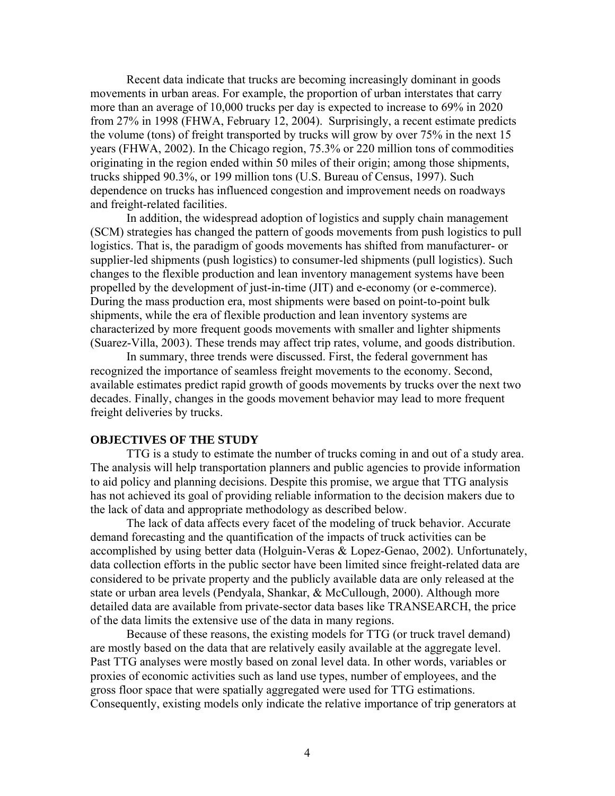Recent data indicate that trucks are becoming increasingly dominant in goods movements in urban areas. For example, the proportion of urban interstates that carry more than an average of 10,000 trucks per day is expected to increase to 69% in 2020 from 27% in 1998 (FHWA, February 12, 2004). Surprisingly, a recent estimate predicts the volume (tons) of freight transported by trucks will grow by over 75% in the next 15 years (FHWA, 2002). In the Chicago region, 75.3% or 220 million tons of commodities originating in the region ended within 50 miles of their origin; among those shipments, trucks shipped 90.3%, or 199 million tons (U.S. Bureau of Census, 1997). Such dependence on trucks has influenced congestion and improvement needs on roadways and freight-related facilities.

In addition, the widespread adoption of logistics and supply chain management (SCM) strategies has changed the pattern of goods movements from push logistics to pull logistics. That is, the paradigm of goods movements has shifted from manufacturer- or supplier-led shipments (push logistics) to consumer-led shipments (pull logistics). Such changes to the flexible production and lean inventory management systems have been propelled by the development of just-in-time (JIT) and e-economy (or e-commerce). During the mass production era, most shipments were based on point-to-point bulk shipments, while the era of flexible production and lean inventory systems are characterized by more frequent goods movements with smaller and lighter shipments (Suarez-Villa, 2003). These trends may affect trip rates, volume, and goods distribution.

In summary, three trends were discussed. First, the federal government has recognized the importance of seamless freight movements to the economy. Second, available estimates predict rapid growth of goods movements by trucks over the next two decades. Finally, changes in the goods movement behavior may lead to more frequent freight deliveries by trucks.

# **OBJECTIVES OF THE STUDY**

TTG is a study to estimate the number of trucks coming in and out of a study area. The analysis will help transportation planners and public agencies to provide information to aid policy and planning decisions. Despite this promise, we argue that TTG analysis has not achieved its goal of providing reliable information to the decision makers due to the lack of data and appropriate methodology as described below.

The lack of data affects every facet of the modeling of truck behavior. Accurate demand forecasting and the quantification of the impacts of truck activities can be accomplished by using better data (Holguin-Veras & Lopez-Genao, 2002). Unfortunately, data collection efforts in the public sector have been limited since freight-related data are considered to be private property and the publicly available data are only released at the state or urban area levels (Pendyala, Shankar, & McCullough, 2000). Although more detailed data are available from private-sector data bases like TRANSEARCH, the price of the data limits the extensive use of the data in many regions.

Because of these reasons, the existing models for TTG (or truck travel demand) are mostly based on the data that are relatively easily available at the aggregate level. Past TTG analyses were mostly based on zonal level data. In other words, variables or proxies of economic activities such as land use types, number of employees, and the gross floor space that were spatially aggregated were used for TTG estimations. Consequently, existing models only indicate the relative importance of trip generators at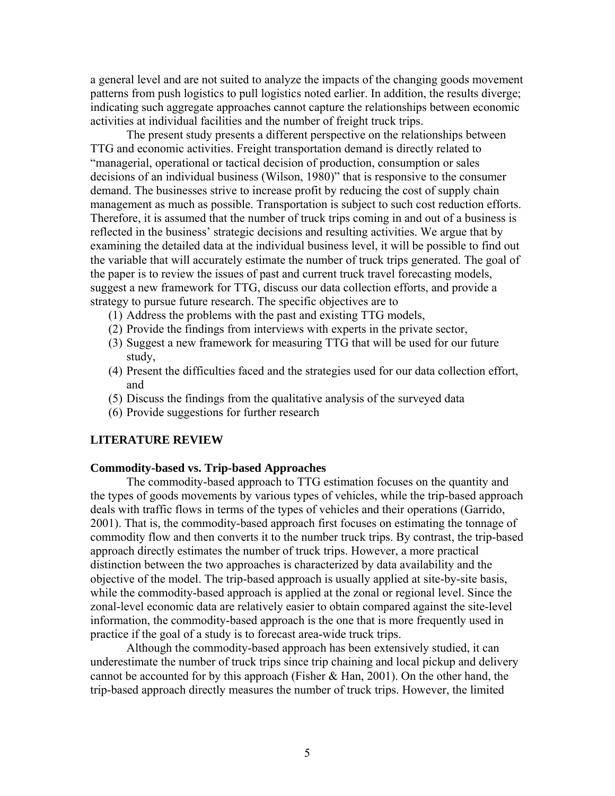a general level and are not suited to analyze the impacts of the changing goods movement patterns from push logistics to pull logistics noted earlier. In addition, the results diverge; indicating such aggregate approaches cannot capture the relationships between economic activities at individual facilities and the number of freight truck trips.

The present study presents a different perspective on the relationships between TTG and economic activities. Freight transportation demand is directly related to "managerial, operational or tactical decision of production, consumption or sales decisions of an individual business (Wilson, 1980)" that is responsive to the consumer demand. The businesses strive to increase profit by reducing the cost of supply chain management as much as possible. Transportation is subject to such cost reduction efforts. Therefore, it is assumed that the number of truck trips coming in and out of a business is reflected in the business' strategic decisions and resulting activities. We argue that by examining the detailed data at the individual business level, it will be possible to find out the variable that will accurately estimate the number of truck trips generated. The goal of the paper is to review the issues of past and current truck travel forecasting models, suggest a new framework for TTG, discuss our data collection efforts, and provide a strategy to pursue future research. The specific objectives are to

- (1) Address the problems with the past and existing TTG models,
- (2) Provide the findings from interviews with experts in the private sector,
- (3) Suggest a new framework for measuring TTG that will be used for our future study,
- (4) Present the difficulties faced and the strategies used for our data collection effort, and
- (5) Discuss the findings from the qualitative analysis of the surveyed data
- (6) Provide suggestions for further research

# **LITERATURE REVIEW**

#### **Commodity-based vs. Trip-based Approaches**

The commodity-based approach to TTG estimation focuses on the quantity and the types of goods movements by various types of vehicles, while the trip-based approach deals with traffic flows in terms of the types of vehicles and their operations (Garrido, 2001). That is, the commodity-based approach first focuses on estimating the tonnage of commodity flow and then converts it to the number truck trips. By contrast, the trip-based approach directly estimates the number of truck trips. However, a more practical distinction between the two approaches is characterized by data availability and the objective of the model. The trip-based approach is usually applied at site-by-site basis, while the commodity-based approach is applied at the zonal or regional level. Since the zonal-level economic data are relatively easier to obtain compared against the site-level information, the commodity-based approach is the one that is more frequently used in practice if the goal of a study is to forecast area-wide truck trips.

Although the commodity-based approach has been extensively studied, it can underestimate the number of truck trips since trip chaining and local pickup and delivery cannot be accounted for by this approach (Fisher  $\&$  Han, 2001). On the other hand, the trip-based approach directly measures the number of truck trips. However, the limited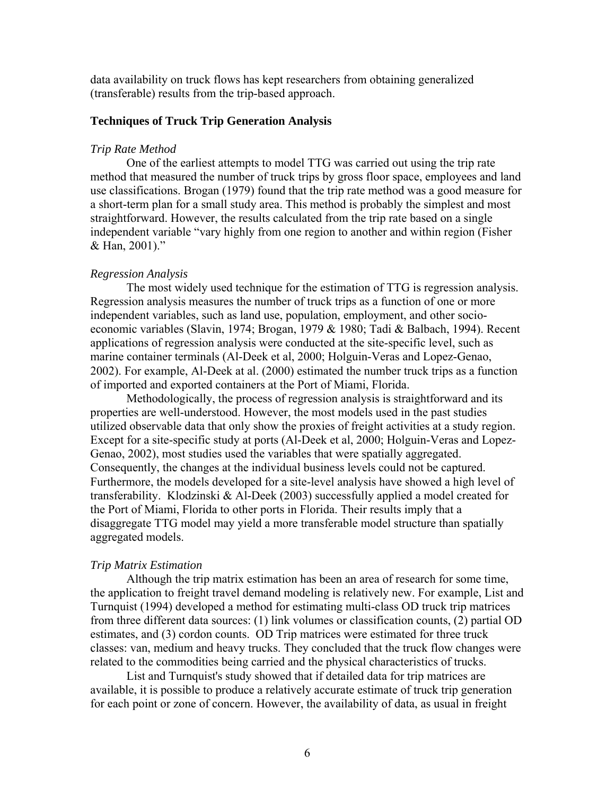data availability on truck flows has kept researchers from obtaining generalized (transferable) results from the trip-based approach.

# **Techniques of Truck Trip Generation Analysis**

# *Trip Rate Method*

One of the earliest attempts to model TTG was carried out using the trip rate method that measured the number of truck trips by gross floor space, employees and land use classifications. Brogan (1979) found that the trip rate method was a good measure for a short-term plan for a small study area. This method is probably the simplest and most straightforward. However, the results calculated from the trip rate based on a single independent variable "vary highly from one region to another and within region (Fisher & Han, 2001)."

#### *Regression Analysis*

The most widely used technique for the estimation of TTG is regression analysis. Regression analysis measures the number of truck trips as a function of one or more independent variables, such as land use, population, employment, and other socioeconomic variables (Slavin, 1974; Brogan, 1979 & 1980; Tadi & Balbach, 1994). Recent applications of regression analysis were conducted at the site-specific level, such as marine container terminals (Al-Deek et al, 2000; Holguin-Veras and Lopez-Genao, 2002). For example, Al-Deek at al. (2000) estimated the number truck trips as a function of imported and exported containers at the Port of Miami, Florida.

Methodologically, the process of regression analysis is straightforward and its properties are well-understood. However, the most models used in the past studies utilized observable data that only show the proxies of freight activities at a study region. Except for a site-specific study at ports (Al-Deek et al, 2000; Holguin-Veras and Lopez-Genao, 2002), most studies used the variables that were spatially aggregated. Consequently, the changes at the individual business levels could not be captured. Furthermore, the models developed for a site-level analysis have showed a high level of transferability. Klodzinski & Al-Deek (2003) successfully applied a model created for the Port of Miami, Florida to other ports in Florida. Their results imply that a disaggregate TTG model may yield a more transferable model structure than spatially aggregated models.

#### *Trip Matrix Estimation*

Although the trip matrix estimation has been an area of research for some time, the application to freight travel demand modeling is relatively new. For example, List and Turnquist (1994) developed a method for estimating multi-class OD truck trip matrices from three different data sources: (1) link volumes or classification counts, (2) partial OD estimates, and (3) cordon counts. OD Trip matrices were estimated for three truck classes: van, medium and heavy trucks. They concluded that the truck flow changes were related to the commodities being carried and the physical characteristics of trucks.

List and Turnquist's study showed that if detailed data for trip matrices are available, it is possible to produce a relatively accurate estimate of truck trip generation for each point or zone of concern. However, the availability of data, as usual in freight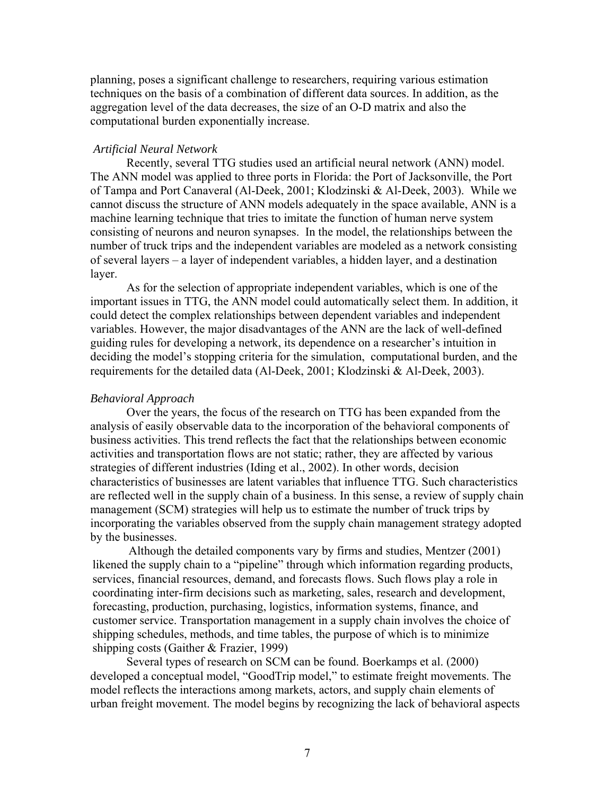planning, poses a significant challenge to researchers, requiring various estimation techniques on the basis of a combination of different data sources. In addition, as the aggregation level of the data decreases, the size of an O-D matrix and also the computational burden exponentially increase.

#### *Artificial Neural Network*

Recently, several TTG studies used an artificial neural network (ANN) model. The ANN model was applied to three ports in Florida: the Port of Jacksonville, the Port of Tampa and Port Canaveral (Al-Deek, 2001; Klodzinski & Al-Deek, 2003). While we cannot discuss the structure of ANN models adequately in the space available, ANN is a machine learning technique that tries to imitate the function of human nerve system consisting of neurons and neuron synapses. In the model, the relationships between the number of truck trips and the independent variables are modeled as a network consisting of several layers – a layer of independent variables, a hidden layer, and a destination layer.

As for the selection of appropriate independent variables, which is one of the important issues in TTG, the ANN model could automatically select them. In addition, it could detect the complex relationships between dependent variables and independent variables. However, the major disadvantages of the ANN are the lack of well-defined guiding rules for developing a network, its dependence on a researcher's intuition in deciding the model's stopping criteria for the simulation, computational burden, and the requirements for the detailed data (Al-Deek, 2001; Klodzinski & Al-Deek, 2003).

#### *Behavioral Approach*

Over the years, the focus of the research on TTG has been expanded from the analysis of easily observable data to the incorporation of the behavioral components of business activities. This trend reflects the fact that the relationships between economic activities and transportation flows are not static; rather, they are affected by various strategies of different industries (Iding et al., 2002). In other words, decision characteristics of businesses are latent variables that influence TTG. Such characteristics are reflected well in the supply chain of a business. In this sense, a review of supply chain management (SCM) strategies will help us to estimate the number of truck trips by incorporating the variables observed from the supply chain management strategy adopted by the businesses.

Although the detailed components vary by firms and studies, Mentzer (2001) likened the supply chain to a "pipeline" through which information regarding products, services, financial resources, demand, and forecasts flows. Such flows play a role in coordinating inter-firm decisions such as marketing, sales, research and development, forecasting, production, purchasing, logistics, information systems, finance, and customer service. Transportation management in a supply chain involves the choice of shipping schedules, methods, and time tables, the purpose of which is to minimize shipping costs (Gaither & Frazier, 1999)

Several types of research on SCM can be found. Boerkamps et al. (2000) developed a conceptual model, "GoodTrip model," to estimate freight movements. The model reflects the interactions among markets, actors, and supply chain elements of urban freight movement. The model begins by recognizing the lack of behavioral aspects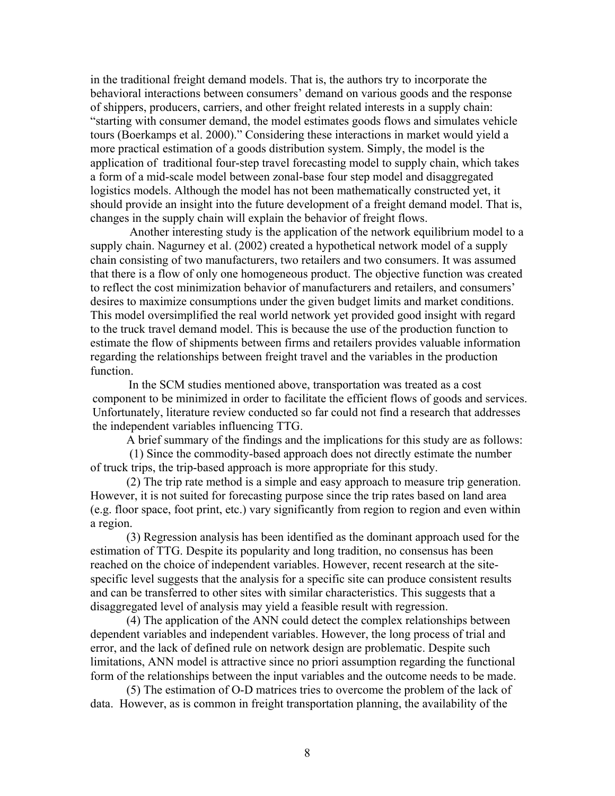in the traditional freight demand models. That is, the authors try to incorporate the behavioral interactions between consumers' demand on various goods and the response of shippers, producers, carriers, and other freight related interests in a supply chain: "starting with consumer demand, the model estimates goods flows and simulates vehicle tours (Boerkamps et al. 2000)." Considering these interactions in market would yield a more practical estimation of a goods distribution system. Simply, the model is the application of traditional four-step travel forecasting model to supply chain, which takes a form of a mid-scale model between zonal-base four step model and disaggregated logistics models. Although the model has not been mathematically constructed yet, it should provide an insight into the future development of a freight demand model. That is, changes in the supply chain will explain the behavior of freight flows.

 Another interesting study is the application of the network equilibrium model to a supply chain. Nagurney et al. (2002) created a hypothetical network model of a supply chain consisting of two manufacturers, two retailers and two consumers. It was assumed that there is a flow of only one homogeneous product. The objective function was created to reflect the cost minimization behavior of manufacturers and retailers, and consumers' desires to maximize consumptions under the given budget limits and market conditions. This model oversimplified the real world network yet provided good insight with regard to the truck travel demand model. This is because the use of the production function to estimate the flow of shipments between firms and retailers provides valuable information regarding the relationships between freight travel and the variables in the production function.

In the SCM studies mentioned above, transportation was treated as a cost component to be minimized in order to facilitate the efficient flows of goods and services. Unfortunately, literature review conducted so far could not find a research that addresses the independent variables influencing TTG.

A brief summary of the findings and the implications for this study are as follows:

 (1) Since the commodity-based approach does not directly estimate the number of truck trips, the trip-based approach is more appropriate for this study.

(2) The trip rate method is a simple and easy approach to measure trip generation. However, it is not suited for forecasting purpose since the trip rates based on land area (e.g. floor space, foot print, etc.) vary significantly from region to region and even within a region.

(3) Regression analysis has been identified as the dominant approach used for the estimation of TTG. Despite its popularity and long tradition, no consensus has been reached on the choice of independent variables. However, recent research at the sitespecific level suggests that the analysis for a specific site can produce consistent results and can be transferred to other sites with similar characteristics. This suggests that a disaggregated level of analysis may yield a feasible result with regression.

(4) The application of the ANN could detect the complex relationships between dependent variables and independent variables. However, the long process of trial and error, and the lack of defined rule on network design are problematic. Despite such limitations, ANN model is attractive since no priori assumption regarding the functional form of the relationships between the input variables and the outcome needs to be made.

(5) The estimation of O-D matrices tries to overcome the problem of the lack of data. However, as is common in freight transportation planning, the availability of the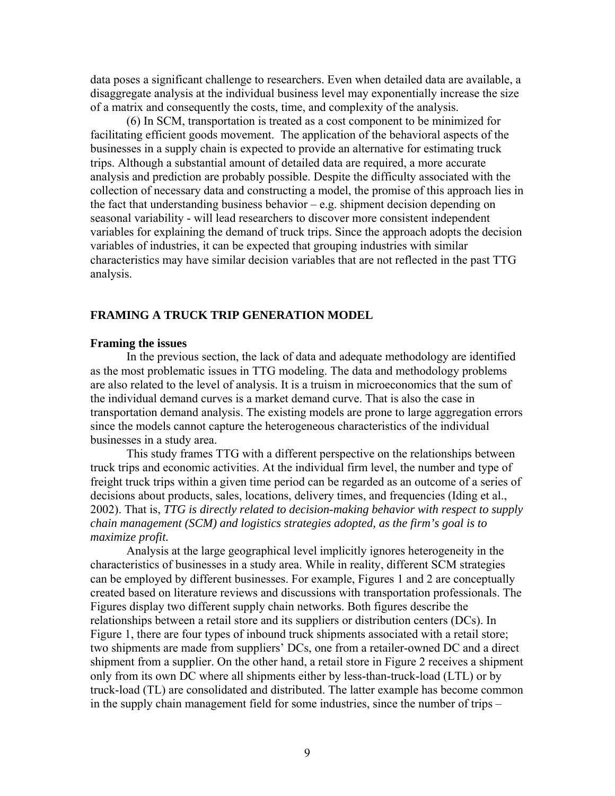data poses a significant challenge to researchers. Even when detailed data are available, a disaggregate analysis at the individual business level may exponentially increase the size of a matrix and consequently the costs, time, and complexity of the analysis.

(6) In SCM, transportation is treated as a cost component to be minimized for facilitating efficient goods movement. The application of the behavioral aspects of the businesses in a supply chain is expected to provide an alternative for estimating truck trips. Although a substantial amount of detailed data are required, a more accurate analysis and prediction are probably possible. Despite the difficulty associated with the collection of necessary data and constructing a model, the promise of this approach lies in the fact that understanding business behavior  $-e.g.$  shipment decision depending on seasonal variability - will lead researchers to discover more consistent independent variables for explaining the demand of truck trips. Since the approach adopts the decision variables of industries, it can be expected that grouping industries with similar characteristics may have similar decision variables that are not reflected in the past TTG analysis.

# **FRAMING A TRUCK TRIP GENERATION MODEL**

#### **Framing the issues**

In the previous section, the lack of data and adequate methodology are identified as the most problematic issues in TTG modeling. The data and methodology problems are also related to the level of analysis. It is a truism in microeconomics that the sum of the individual demand curves is a market demand curve. That is also the case in transportation demand analysis. The existing models are prone to large aggregation errors since the models cannot capture the heterogeneous characteristics of the individual businesses in a study area.

This study frames TTG with a different perspective on the relationships between truck trips and economic activities. At the individual firm level, the number and type of freight truck trips within a given time period can be regarded as an outcome of a series of decisions about products, sales, locations, delivery times, and frequencies (Iding et al., 2002). That is, *TTG is directly related to decision-making behavior with respect to supply chain management (SCM) and logistics strategies adopted, as the firm's goal is to maximize profit.*

Analysis at the large geographical level implicitly ignores heterogeneity in the characteristics of businesses in a study area. While in reality, different SCM strategies can be employed by different businesses. For example, Figures 1 and 2 are conceptually created based on literature reviews and discussions with transportation professionals. The Figures display two different supply chain networks. Both figures describe the relationships between a retail store and its suppliers or distribution centers (DCs). In Figure 1, there are four types of inbound truck shipments associated with a retail store; two shipments are made from suppliers' DCs, one from a retailer-owned DC and a direct shipment from a supplier. On the other hand, a retail store in Figure 2 receives a shipment only from its own DC where all shipments either by less-than-truck-load (LTL) or by truck-load (TL) are consolidated and distributed. The latter example has become common in the supply chain management field for some industries, since the number of trips –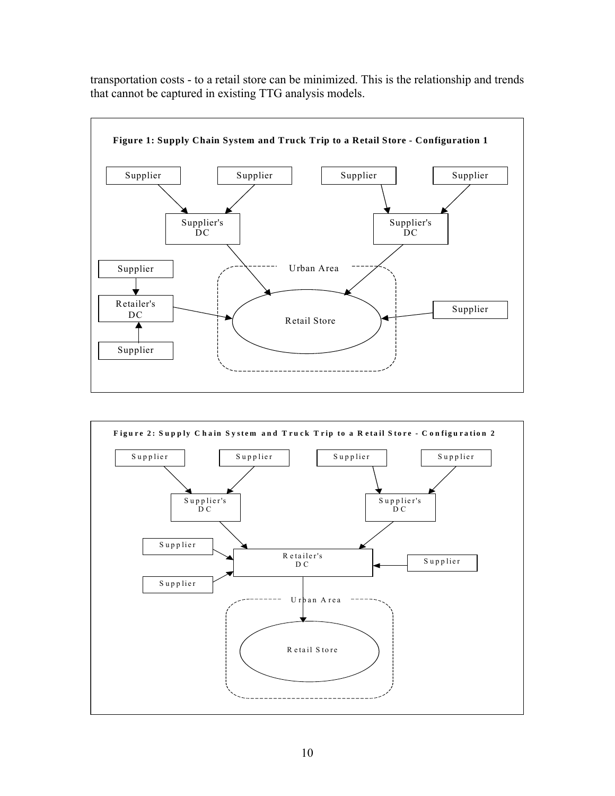

transportation costs - to a retail store can be minimized. This is the relationship and trends that cannot be captured in existing TTG analysis models.

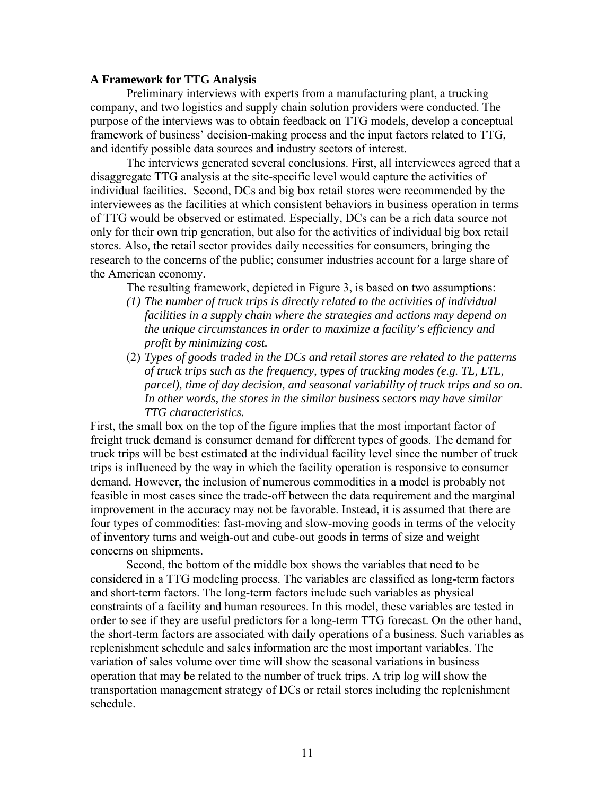# **A Framework for TTG Analysis**

Preliminary interviews with experts from a manufacturing plant, a trucking company, and two logistics and supply chain solution providers were conducted. The purpose of the interviews was to obtain feedback on TTG models, develop a conceptual framework of business' decision-making process and the input factors related to TTG, and identify possible data sources and industry sectors of interest.

The interviews generated several conclusions. First, all interviewees agreed that a disaggregate TTG analysis at the site-specific level would capture the activities of individual facilities. Second, DCs and big box retail stores were recommended by the interviewees as the facilities at which consistent behaviors in business operation in terms of TTG would be observed or estimated. Especially, DCs can be a rich data source not only for their own trip generation, but also for the activities of individual big box retail stores. Also, the retail sector provides daily necessities for consumers, bringing the research to the concerns of the public; consumer industries account for a large share of the American economy.

The resulting framework, depicted in Figure 3, is based on two assumptions:

- *(1) The number of truck trips is directly related to the activities of individual facilities in a supply chain where the strategies and actions may depend on the unique circumstances in order to maximize a facility's efficiency and profit by minimizing cost.*
- (2) *Types of goods traded in the DCs and retail stores are related to the patterns of truck trips such as the frequency, types of trucking modes (e.g. TL, LTL, parcel), time of day decision, and seasonal variability of truck trips and so on. In other words, the stores in the similar business sectors may have similar TTG characteristics.*

First, the small box on the top of the figure implies that the most important factor of freight truck demand is consumer demand for different types of goods. The demand for truck trips will be best estimated at the individual facility level since the number of truck trips is influenced by the way in which the facility operation is responsive to consumer demand. However, the inclusion of numerous commodities in a model is probably not feasible in most cases since the trade-off between the data requirement and the marginal improvement in the accuracy may not be favorable. Instead, it is assumed that there are four types of commodities: fast-moving and slow-moving goods in terms of the velocity of inventory turns and weigh-out and cube-out goods in terms of size and weight concerns on shipments.

Second, the bottom of the middle box shows the variables that need to be considered in a TTG modeling process. The variables are classified as long-term factors and short-term factors. The long-term factors include such variables as physical constraints of a facility and human resources. In this model, these variables are tested in order to see if they are useful predictors for a long-term TTG forecast. On the other hand, the short-term factors are associated with daily operations of a business. Such variables as replenishment schedule and sales information are the most important variables. The variation of sales volume over time will show the seasonal variations in business operation that may be related to the number of truck trips. A trip log will show the transportation management strategy of DCs or retail stores including the replenishment schedule.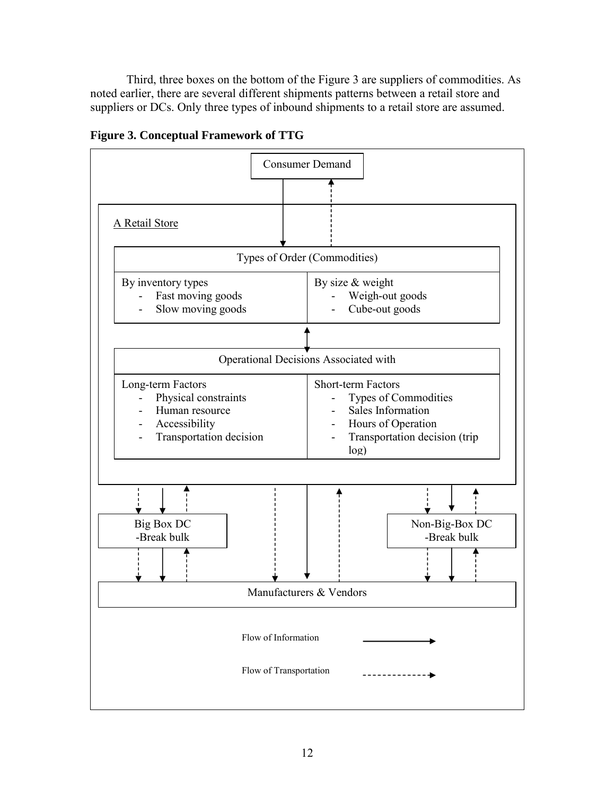Third, three boxes on the bottom of the Figure 3 are suppliers of commodities. As noted earlier, there are several different shipments patterns between a retail store and suppliers or DCs. Only three types of inbound shipments to a retail store are assumed.



**Figure 3. Conceptual Framework of TTG**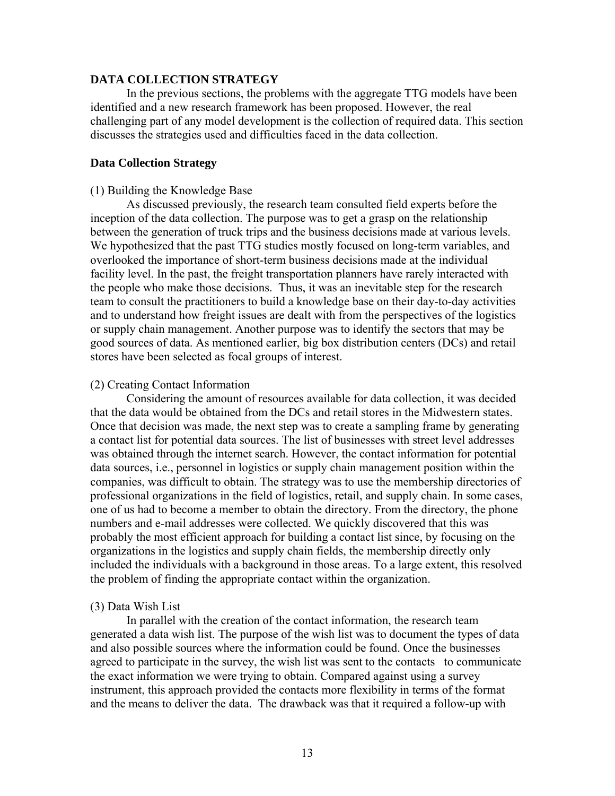# **DATA COLLECTION STRATEGY**

In the previous sections, the problems with the aggregate TTG models have been identified and a new research framework has been proposed. However, the real challenging part of any model development is the collection of required data. This section discusses the strategies used and difficulties faced in the data collection.

# **Data Collection Strategy**

# (1) Building the Knowledge Base

As discussed previously, the research team consulted field experts before the inception of the data collection. The purpose was to get a grasp on the relationship between the generation of truck trips and the business decisions made at various levels. We hypothesized that the past TTG studies mostly focused on long-term variables, and overlooked the importance of short-term business decisions made at the individual facility level. In the past, the freight transportation planners have rarely interacted with the people who make those decisions. Thus, it was an inevitable step for the research team to consult the practitioners to build a knowledge base on their day-to-day activities and to understand how freight issues are dealt with from the perspectives of the logistics or supply chain management. Another purpose was to identify the sectors that may be good sources of data. As mentioned earlier, big box distribution centers (DCs) and retail stores have been selected as focal groups of interest.

#### (2) Creating Contact Information

Considering the amount of resources available for data collection, it was decided that the data would be obtained from the DCs and retail stores in the Midwestern states. Once that decision was made, the next step was to create a sampling frame by generating a contact list for potential data sources. The list of businesses with street level addresses was obtained through the internet search. However, the contact information for potential data sources, i.e., personnel in logistics or supply chain management position within the companies, was difficult to obtain. The strategy was to use the membership directories of professional organizations in the field of logistics, retail, and supply chain. In some cases, one of us had to become a member to obtain the directory. From the directory, the phone numbers and e-mail addresses were collected. We quickly discovered that this was probably the most efficient approach for building a contact list since, by focusing on the organizations in the logistics and supply chain fields, the membership directly only included the individuals with a background in those areas. To a large extent, this resolved the problem of finding the appropriate contact within the organization.

#### (3) Data Wish List

In parallel with the creation of the contact information, the research team generated a data wish list. The purpose of the wish list was to document the types of data and also possible sources where the information could be found. Once the businesses agreed to participate in the survey, the wish list was sent to the contacts to communicate the exact information we were trying to obtain. Compared against using a survey instrument, this approach provided the contacts more flexibility in terms of the format and the means to deliver the data. The drawback was that it required a follow-up with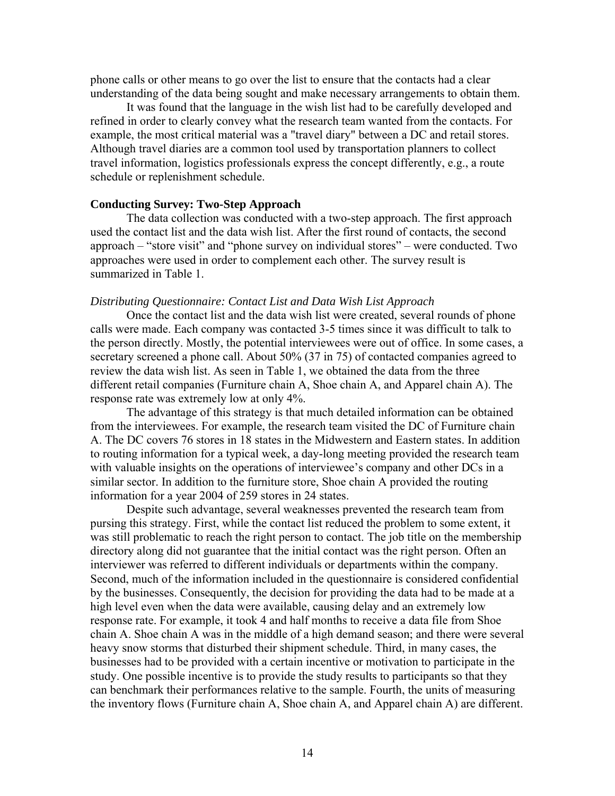phone calls or other means to go over the list to ensure that the contacts had a clear understanding of the data being sought and make necessary arrangements to obtain them.

It was found that the language in the wish list had to be carefully developed and refined in order to clearly convey what the research team wanted from the contacts. For example, the most critical material was a "travel diary" between a DC and retail stores. Although travel diaries are a common tool used by transportation planners to collect travel information, logistics professionals express the concept differently, e.g., a route schedule or replenishment schedule.

# **Conducting Survey: Two-Step Approach**

The data collection was conducted with a two-step approach. The first approach used the contact list and the data wish list. After the first round of contacts, the second approach – "store visit" and "phone survey on individual stores" – were conducted. Two approaches were used in order to complement each other. The survey result is summarized in Table 1.

#### *Distributing Questionnaire: Contact List and Data Wish List Approach*

Once the contact list and the data wish list were created, several rounds of phone calls were made. Each company was contacted 3-5 times since it was difficult to talk to the person directly. Mostly, the potential interviewees were out of office. In some cases, a secretary screened a phone call. About 50% (37 in 75) of contacted companies agreed to review the data wish list. As seen in Table 1, we obtained the data from the three different retail companies (Furniture chain A, Shoe chain A, and Apparel chain A). The response rate was extremely low at only 4%.

The advantage of this strategy is that much detailed information can be obtained from the interviewees. For example, the research team visited the DC of Furniture chain A. The DC covers 76 stores in 18 states in the Midwestern and Eastern states. In addition to routing information for a typical week, a day-long meeting provided the research team with valuable insights on the operations of interviewee's company and other DCs in a similar sector. In addition to the furniture store, Shoe chain A provided the routing information for a year 2004 of 259 stores in 24 states.

Despite such advantage, several weaknesses prevented the research team from pursing this strategy. First, while the contact list reduced the problem to some extent, it was still problematic to reach the right person to contact. The job title on the membership directory along did not guarantee that the initial contact was the right person. Often an interviewer was referred to different individuals or departments within the company. Second, much of the information included in the questionnaire is considered confidential by the businesses. Consequently, the decision for providing the data had to be made at a high level even when the data were available, causing delay and an extremely low response rate. For example, it took 4 and half months to receive a data file from Shoe chain A. Shoe chain A was in the middle of a high demand season; and there were several heavy snow storms that disturbed their shipment schedule. Third, in many cases, the businesses had to be provided with a certain incentive or motivation to participate in the study. One possible incentive is to provide the study results to participants so that they can benchmark their performances relative to the sample. Fourth, the units of measuring the inventory flows (Furniture chain A, Shoe chain A, and Apparel chain A) are different.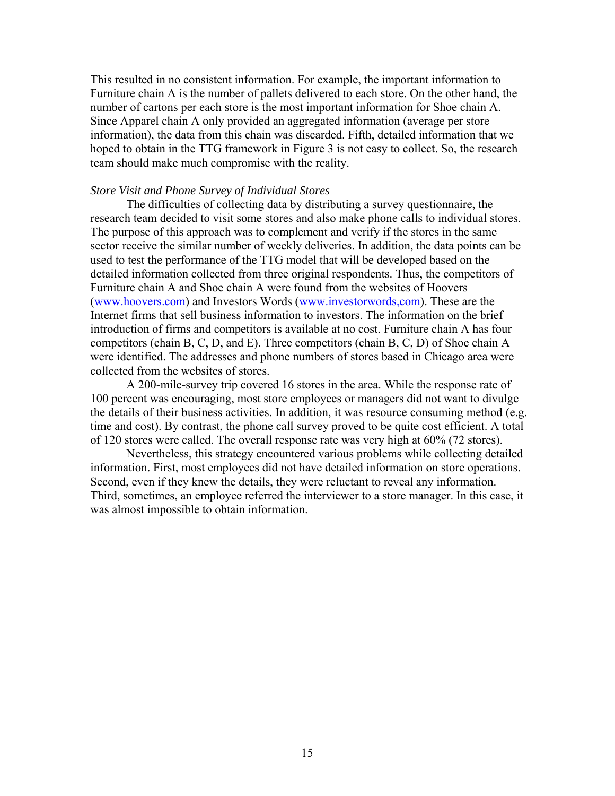This resulted in no consistent information. For example, the important information to Furniture chain A is the number of pallets delivered to each store. On the other hand, the number of cartons per each store is the most important information for Shoe chain A. Since Apparel chain A only provided an aggregated information (average per store information), the data from this chain was discarded. Fifth, detailed information that we hoped to obtain in the TTG framework in Figure 3 is not easy to collect. So, the research team should make much compromise with the reality.

#### *Store Visit and Phone Survey of Individual Stores*

The difficulties of collecting data by distributing a survey questionnaire, the research team decided to visit some stores and also make phone calls to individual stores. The purpose of this approach was to complement and verify if the stores in the same sector receive the similar number of weekly deliveries. In addition, the data points can be used to test the performance of the TTG model that will be developed based on the detailed information collected from three original respondents. Thus, the competitors of Furniture chain A and Shoe chain A were found from the websites of Hoovers ([www.hoovers.com\)](http://www.hoovers.com/) and Investors Words ([www.investorwords,com\)](http://www.investorwords,com/). These are the Internet firms that sell business information to investors. The information on the brief introduction of firms and competitors is available at no cost. Furniture chain A has four competitors (chain B, C, D, and E). Three competitors (chain B, C, D) of Shoe chain A were identified. The addresses and phone numbers of stores based in Chicago area were collected from the websites of stores.

A 200-mile-survey trip covered 16 stores in the area. While the response rate of 100 percent was encouraging, most store employees or managers did not want to divulge the details of their business activities. In addition, it was resource consuming method (e.g. time and cost). By contrast, the phone call survey proved to be quite cost efficient. A total of 120 stores were called. The overall response rate was very high at 60% (72 stores).

Nevertheless, this strategy encountered various problems while collecting detailed information. First, most employees did not have detailed information on store operations. Second, even if they knew the details, they were reluctant to reveal any information. Third, sometimes, an employee referred the interviewer to a store manager. In this case, it was almost impossible to obtain information.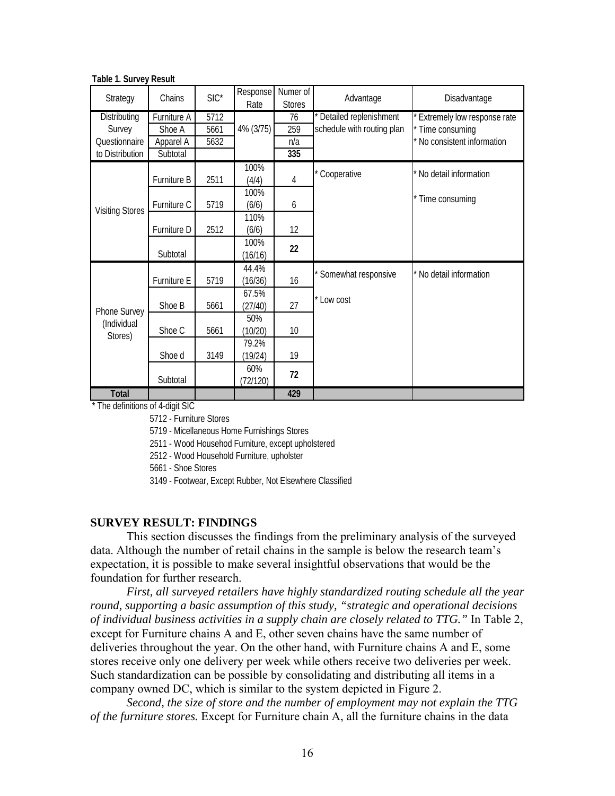| Strategy               | Chains      | $SIC^*$          | Response<br>Rate | Numer of<br><b>Stores</b> | Advantage                  | Disadvantage                |
|------------------------|-------------|------------------|------------------|---------------------------|----------------------------|-----------------------------|
| <b>Distributing</b>    | Furniture A | $\frac{1}{5712}$ |                  | 76                        | * Detailed replenishment   | Extremely low response rate |
| Survey                 | Shoe A      | 5661             | 4% (3/75)        | 259                       | schedule with routing plan | * Time consuming            |
| Questionnaire          | Apparel A   | 5632             |                  | n/a                       |                            | * No consistent information |
| to Distribution        | Subtotal    |                  |                  | 335                       |                            |                             |
|                        |             |                  | 100%             |                           | * Cooperative              | * No detail information     |
|                        | Furniture B | 2511             | (4/4)            | 4                         |                            |                             |
|                        |             |                  | 100%             |                           |                            | * Time consuming            |
| <b>Visiting Stores</b> | Furniture C | 5719             | (6/6)            | 6                         |                            |                             |
|                        |             |                  | 110%             |                           |                            |                             |
|                        | Furniture D | 2512             | (6/6)            | 12                        |                            |                             |
|                        |             |                  | 100%             | 22                        |                            |                             |
|                        | Subtotal    |                  | (16/16)          |                           |                            |                             |
|                        |             |                  | 44.4%            |                           | * Somewhat responsive      | * No detail information     |
|                        | Furniture E | 5719             | (16/36)          | 16                        |                            |                             |
|                        |             |                  | 67.5%            |                           | * Low cost                 |                             |
| Phone Survey           | Shoe B      | 5661             | (27/40)          | 27                        |                            |                             |
| (Individual            |             |                  | 50%              |                           |                            |                             |
| Stores)                | Shoe C      | 5661             | (10/20)          | 10                        |                            |                             |
|                        |             |                  | 79.2%            |                           |                            |                             |
|                        | Shoe d      | 3149             | (19/24)          | 19                        |                            |                             |
|                        |             |                  | 60%              | 72                        |                            |                             |
|                        | Subtotal    |                  | (72/120)         |                           |                            |                             |
| <b>Total</b>           |             |                  |                  | 429                       |                            |                             |

**Table 1. Survey Result**

\* The definitions of 4-digit SIC

5712 - Furniture Stores

5719 - Micellaneous Home Furnishings Stores

2511 - Wood Househod Furniture, except upholstered

2512 - Wood Household Furniture, upholster

5661 - Shoe Stores

3149 - Footwear, Except Rubber, Not Elsewhere Classified

# **SURVEY RESULT: FINDINGS**

This section discusses the findings from the preliminary analysis of the surveyed data. Although the number of retail chains in the sample is below the research team's expectation, it is possible to make several insightful observations that would be the foundation for further research.

*First, all surveyed retailers have highly standardized routing schedule all the year round, supporting a basic assumption of this study, "strategic and operational decisions of individual business activities in a supply chain are closely related to TTG."* In Table 2, except for Furniture chains A and E, other seven chains have the same number of deliveries throughout the year. On the other hand, with Furniture chains A and E, some stores receive only one delivery per week while others receive two deliveries per week. Such standardization can be possible by consolidating and distributing all items in a company owned DC, which is similar to the system depicted in Figure 2.

*Second, the size of store and the number of employment may not explain the TTG of the furniture stores.* Except for Furniture chain A, all the furniture chains in the data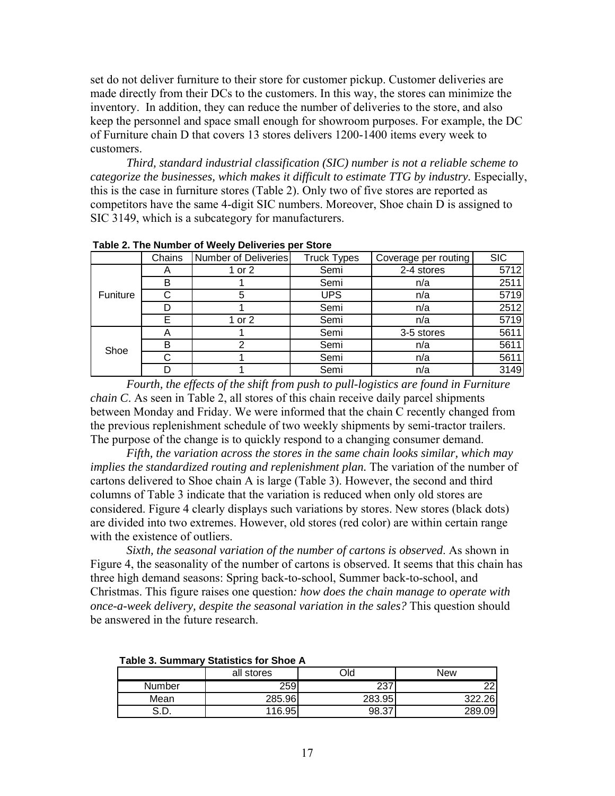set do not deliver furniture to their store for customer pickup. Customer deliveries are made directly from their DCs to the customers. In this way, the stores can minimize the inventory. In addition, they can reduce the number of deliveries to the store, and also keep the personnel and space small enough for showroom purposes. For example, the DC of Furniture chain D that covers 13 stores delivers 1200-1400 items every week to customers.

*Third, standard industrial classification (SIC) number is not a reliable scheme to categorize the businesses, which makes it difficult to estimate TTG by industry.* Especially, this is the case in furniture stores (Table 2). Only two of five stores are reported as competitors have the same 4-digit SIC numbers. Moreover, Shoe chain D is assigned to SIC 3149, which is a subcategory for manufacturers.

|          | Chains                    | Number of Deliveries | <b>Truck Types</b> | Coverage per routing | <b>SIC</b> |
|----------|---------------------------|----------------------|--------------------|----------------------|------------|
|          | $\boldsymbol{\mathsf{A}}$ | 1 or 2               | Semi               | 2-4 stores           | 5712       |
|          | В                         |                      | Semi               | n/a                  | 2511       |
| Funiture |                           | 5                    | <b>UPS</b>         | n/a                  | 5719       |
|          |                           |                      | Semi               | n/a                  | 2512       |
|          | F                         | 1 or 2               | Semi               | n/a                  | 5719       |
|          |                           |                      | Semi               | 3-5 stores           | 5611       |
| Shoe     | B                         |                      | Semi               | n/a                  | 5611       |
|          |                           |                      | Semi               | n/a                  | 5611       |
|          |                           |                      | Semi               | n/a                  | 3149       |

**Table 2. The Number of Weely Deliveries per Store**

*Fourth, the effects of the shift from push to pull-logistics are found in Furniture chain C*. As seen in Table 2, all stores of this chain receive daily parcel shipments between Monday and Friday. We were informed that the chain C recently changed from the previous replenishment schedule of two weekly shipments by semi-tractor trailers. The purpose of the change is to quickly respond to a changing consumer demand.

*Fifth, the variation across the stores in the same chain looks similar, which may implies the standardized routing and replenishment plan.* The variation of the number of cartons delivered to Shoe chain A is large (Table 3). However, the second and third columns of Table 3 indicate that the variation is reduced when only old stores are considered. Figure 4 clearly displays such variations by stores. New stores (black dots) are divided into two extremes. However, old stores (red color) are within certain range with the existence of outliers.

*Sixth, the seasonal variation of the number of cartons is observed*. As shown in Figure 4, the seasonality of the number of cartons is observed. It seems that this chain has three high demand seasons: Spring back-to-school, Summer back-to-school, and Christmas. This figure raises one question*: how does the chain manage to operate with once-a-week delivery, despite the seasonal variation in the sales?* This question should be answered in the future research.

|              | all stores | Old        | New             |
|--------------|------------|------------|-----------------|
| Number       | 259        | 227<br>.د∠ | 22 <sub>1</sub> |
| Mean         | 285.96     | 283.95     | .26<br>າາາ      |
| ິດ ກ<br>ש.ט. | 116.95     | 98.37      | 289.09          |

**Table 3. Summary Statistics for Shoe A**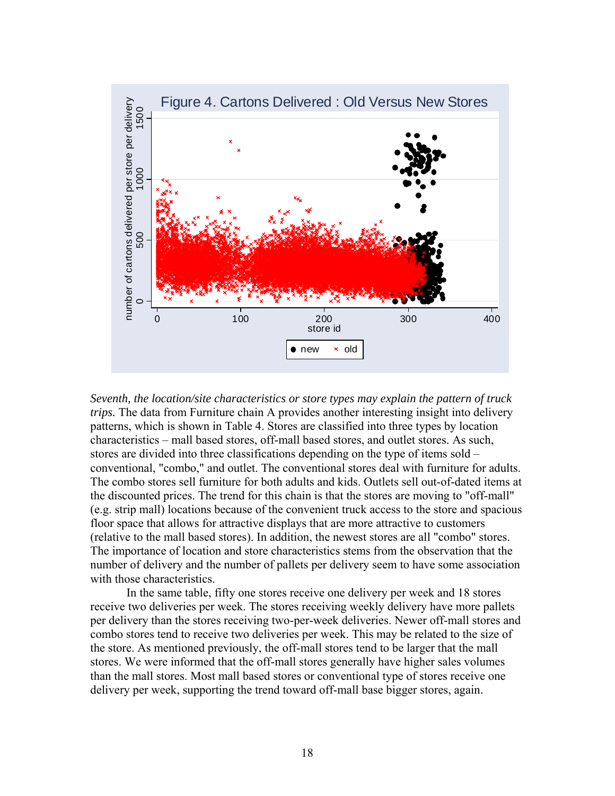

*Seventh, the location/site characteristics or store types may explain the pattern of truck trips.* The data from Furniture chain A provides another interesting insight into delivery patterns, which is shown in Table 4. Stores are classified into three types by location characteristics – mall based stores, off-mall based stores, and outlet stores. As such, stores are divided into three classifications depending on the type of items sold – conventional, "combo," and outlet. The conventional stores deal with furniture for adults. The combo stores sell furniture for both adults and kids. Outlets sell out-of-dated items at the discounted prices. The trend for this chain is that the stores are moving to "off-mall" (e.g. strip mall) locations because of the convenient truck access to the store and spacious floor space that allows for attractive displays that are more attractive to customers (relative to the mall based stores). In addition, the newest stores are all "combo" stores. The importance of location and store characteristics stems from the observation that the number of delivery and the number of pallets per delivery seem to have some association with those characteristics.

In the same table, fifty one stores receive one delivery per week and 18 stores receive two deliveries per week. The stores receiving weekly delivery have more pallets per delivery than the stores receiving two-per-week deliveries. Newer off-mall stores and combo stores tend to receive two deliveries per week. This may be related to the size of the store. As mentioned previously, the off-mall stores tend to be larger that the mall stores. We were informed that the off-mall stores generally have higher sales volumes than the mall stores. Most mall based stores or conventional type of stores receive one delivery per week, supporting the trend toward off-mall base bigger stores, again.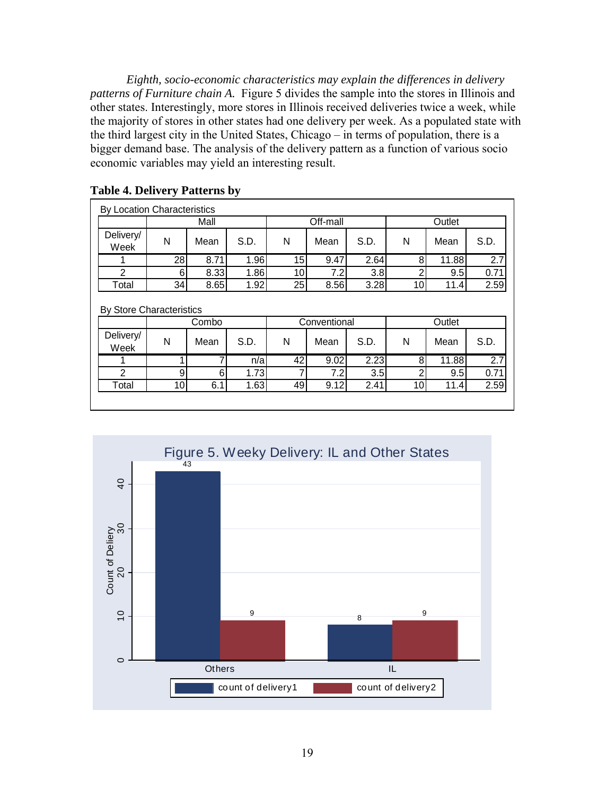*Eighth, socio-economic characteristics may explain the differences in delivery patterns of Furniture chain A.* Figure 5 divides the sample into the stores in Illinois and other states. Interestingly, more stores in Illinois received deliveries twice a week, while the majority of stores in other states had one delivery per week. As a populated state with the third largest city in the United States, Chicago – in terms of population, there is a bigger demand base. The analysis of the delivery pattern as a function of various socio economic variables may yield an interesting result.

| By Location Characteristics |                 |       |      |                 |              |      |                |        |                  |
|-----------------------------|-----------------|-------|------|-----------------|--------------|------|----------------|--------|------------------|
|                             |                 | Mall  |      |                 | Off-mall     |      |                | Outlet |                  |
| Delivery/<br>Week           | N               | Mean  | S.D. | N               | Mean         | S.D. | N              | Mean   | S.D.             |
|                             | $\overline{28}$ | 8.71  | 1.96 | 15              | 9.47         | 2.64 | 8              | 11.88  | $\overline{2.7}$ |
| 2                           | 61              | 8.33  | 1.86 | 10 <sup>1</sup> | 7.2          | 3.8  | $\overline{2}$ | 9.5    | 0.71             |
|                             |                 |       | 1.92 | 25              | 8.56         | 3.28 | 10             | 11.4   | 2.59             |
| Total                       | 34              | 8.65  |      |                 |              |      |                |        |                  |
| By Store Characteristics    |                 | Combo |      |                 | Conventional |      |                | Outlet |                  |
| Delivery/<br>Week           | N               | Mean  | S.D. | N               | Mean         | S.D. | N              | Mean   | S.D.             |
|                             |                 | 7     | n/a  | 42              | 9.02         | 2.23 | 8              | 11.88  | 2.7              |
| $\mathfrak{p}$              | 9               | 6     | 1.73 | 7               | 7.2          | 3.5  | 2              | 9.5    | 0.71             |

# **Table 4. Delivery Patterns by**

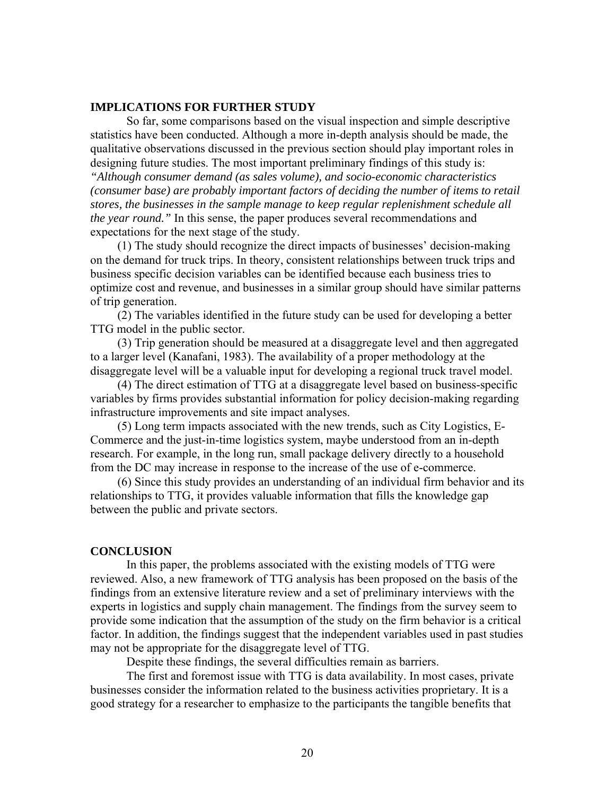# **IMPLICATIONS FOR FURTHER STUDY**

So far, some comparisons based on the visual inspection and simple descriptive statistics have been conducted. Although a more in-depth analysis should be made, the qualitative observations discussed in the previous section should play important roles in designing future studies. The most important preliminary findings of this study is: *"Although consumer demand (as sales volume), and socio-economic characteristics (consumer base) are probably important factors of deciding the number of items to retail stores, the businesses in the sample manage to keep regular replenishment schedule all the year round."* In this sense, the paper produces several recommendations and expectations for the next stage of the study.

(1) The study should recognize the direct impacts of businesses' decision-making on the demand for truck trips. In theory, consistent relationships between truck trips and business specific decision variables can be identified because each business tries to optimize cost and revenue, and businesses in a similar group should have similar patterns of trip generation.

(2) The variables identified in the future study can be used for developing a better TTG model in the public sector.

(3) Trip generation should be measured at a disaggregate level and then aggregated to a larger level (Kanafani, 1983). The availability of a proper methodology at the disaggregate level will be a valuable input for developing a regional truck travel model.

(4) The direct estimation of TTG at a disaggregate level based on business-specific variables by firms provides substantial information for policy decision-making regarding infrastructure improvements and site impact analyses.

(5) Long term impacts associated with the new trends, such as City Logistics, E-Commerce and the just-in-time logistics system, maybe understood from an in-depth research. For example, in the long run, small package delivery directly to a household from the DC may increase in response to the increase of the use of e-commerce.

(6) Since this study provides an understanding of an individual firm behavior and its relationships to TTG, it provides valuable information that fills the knowledge gap between the public and private sectors.

#### **CONCLUSION**

In this paper, the problems associated with the existing models of TTG were reviewed. Also, a new framework of TTG analysis has been proposed on the basis of the findings from an extensive literature review and a set of preliminary interviews with the experts in logistics and supply chain management. The findings from the survey seem to provide some indication that the assumption of the study on the firm behavior is a critical factor. In addition, the findings suggest that the independent variables used in past studies may not be appropriate for the disaggregate level of TTG.

Despite these findings, the several difficulties remain as barriers.

The first and foremost issue with TTG is data availability. In most cases, private businesses consider the information related to the business activities proprietary. It is a good strategy for a researcher to emphasize to the participants the tangible benefits that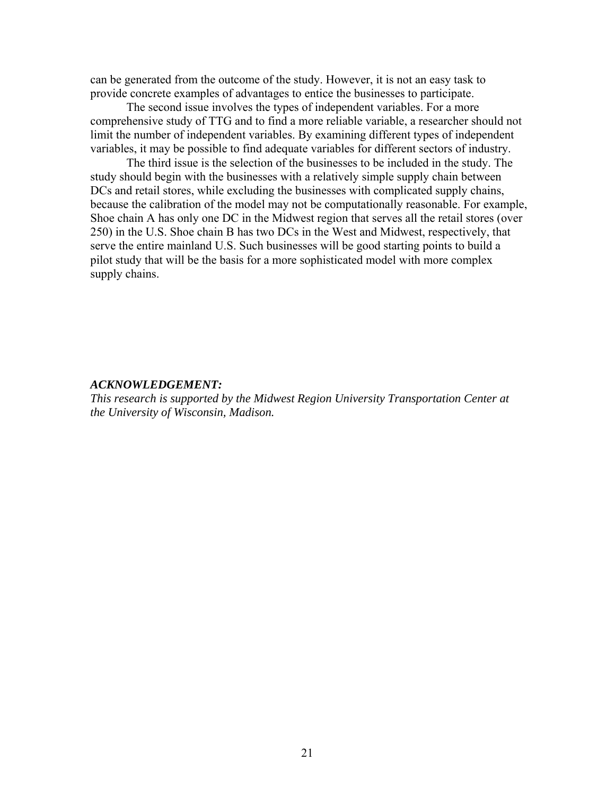can be generated from the outcome of the study. However, it is not an easy task to provide concrete examples of advantages to entice the businesses to participate.

The second issue involves the types of independent variables. For a more comprehensive study of TTG and to find a more reliable variable, a researcher should not limit the number of independent variables. By examining different types of independent variables, it may be possible to find adequate variables for different sectors of industry.

The third issue is the selection of the businesses to be included in the study. The study should begin with the businesses with a relatively simple supply chain between DCs and retail stores, while excluding the businesses with complicated supply chains, because the calibration of the model may not be computationally reasonable. For example, Shoe chain A has only one DC in the Midwest region that serves all the retail stores (over 250) in the U.S. Shoe chain B has two DCs in the West and Midwest, respectively, that serve the entire mainland U.S. Such businesses will be good starting points to build a pilot study that will be the basis for a more sophisticated model with more complex supply chains.

# *ACKNOWLEDGEMENT:*

*This research is supported by the Midwest Region University Transportation Center at the University of Wisconsin, Madison.*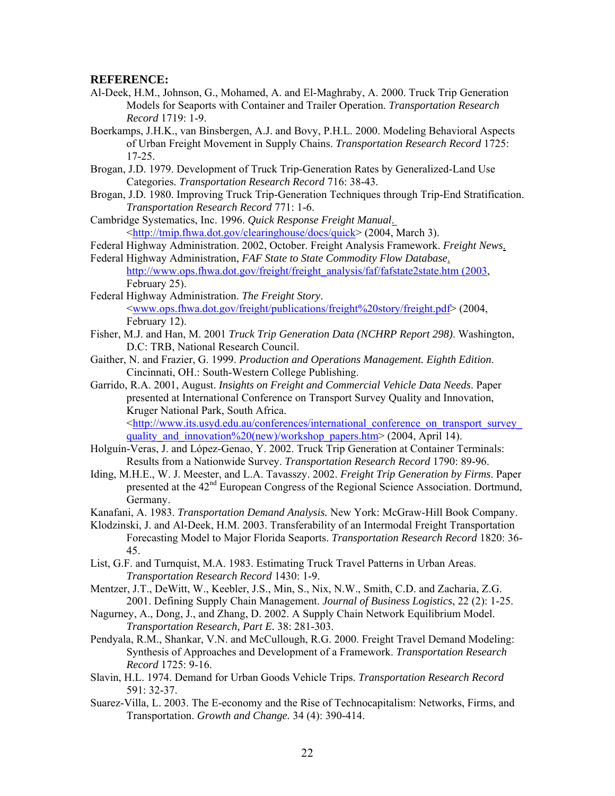#### **REFERENCE:**

- Al-Deek, H.M., Johnson, G., Mohamed, A. and El-Maghraby, A. 2000. Truck Trip Generation Models for Seaports with Container and Trailer Operation. *Transportation Research Record* 1719: 1-9.
- Boerkamps, J.H.K., van Binsbergen, A.J. and Bovy, P.H.L. 2000. Modeling Behavioral Aspects of Urban Freight Movement in Supply Chains. *Transportation Research Record* 1725: 17-25.
- Brogan, J.D. 1979. Development of Truck Trip-Generation Rates by Generalized-Land Use Categories. *Transportation Research Record* 716: 38-43.
- Brogan, J.D. 1980. Improving Truck Trip-Generation Techniques through Trip-End Stratification. *Transportation Research Record* 771: 1-6.
- Cambridge Systematics, Inc. 1996. *Quick Response Freight Manual*. [<http://tmip.fhwa.dot.gov/clearinghouse/docs/quick](http://tmip.fhwa.dot.gov/clearinghouse/docs/quick)> (2004, March 3).
- Federal Highway Administration. 2002, October. Freight Analysis Framework. *Freight News*.
- Federal Highway Administration, *FAF State to State Commodity Flow Database*. [http://www.ops.fhwa.dot.gov/freight/freight\\_analysis/faf/fafstate2state.htm \(2003](http://www.ops.fhwa.dot.gov/freight/freight_analysis/faf/fafstate2state.htm (2003), February 25).
- Federal Highway Administration. *The Freight Story*. [<www.ops.fhwa.dot.gov/freight/publications/freight%20story/freight.pdf>](http://www.ops.fhwa.dot.gov/freight/publications/freight story/freight.pdf) (2004, February 12).
- Fisher, M.J. and Han, M. 2001 *Truck Trip Generation Data (NCHRP Report 298)*. Washington, D.C: TRB, National Research Council.
- Gaither, N. and Frazier, G. 1999. *Production and Operations Management. Eighth Edition*. Cincinnati, OH.: South-Western College Publishing.
- Garrido, R.A. 2001, August. *Insights on Freight and Commercial Vehicle Data Needs*. Paper presented at International Conference on Transport Survey Quality and Innovation, Kruger National Park, South Africa. [<http://www.its.usyd.edu.au/conferences/international\\_conference\\_on\\_transport\\_survey\\_](http://www.its.usyd.edu.au/conferences/international_conference_on_transport_survey_quality_and_innovation (new)/workshop_papers.htm) quality and innovation%20(new)/workshop\_papers.htm> (2004, April 14).
- Holguín-Veras, J. and Lόpez-Genao, Y. 2002. Truck Trip Generation at Container Terminals: Results from a Nationwide Survey. *Transportation Research Record* 1790: 89-96.
- Iding, M.H.E., W. J. Meester, and L.A. Tavasszy. 2002. *Freight Trip Generation by Firms*. Paper presented at the 42<sup>nd</sup> European Congress of the Regional Science Association. Dortmund, Germany.
- Kanafani, A. 1983. *Transportation Demand Analysis.* New York: McGraw-Hill Book Company.
- Klodzinski, J. and Al-Deek, H.M. 2003. Transferability of an Intermodal Freight Transportation Forecasting Model to Major Florida Seaports. *Transportation Research Record* 1820: 36- 45.
- List, G.F. and Turnquist, M.A. 1983. Estimating Truck Travel Patterns in Urban Areas. *Transportation Research Record* 1430: 1-9.
- Mentzer, J.T., DeWitt, W., Keebler, J.S., Min, S., Nix, N.W., Smith, C.D. and Zacharia, Z.G. 2001. Defining Supply Chain Management. *Journal of Business Logistics*, 22 (2): 1-25.
- Nagurney, A., Dong, J., and Zhang, D. 2002. A Supply Chain Network Equilibrium Model. *Transportation Research, Part E.* 38: 281-303.
- Pendyala, R.M., Shankar, V.N. and McCullough, R.G. 2000. Freight Travel Demand Modeling: Synthesis of Approaches and Development of a Framework. *Transportation Research Record* 1725: 9-16.
- Slavin, H.L. 1974. Demand for Urban Goods Vehicle Trips. *Transportation Research Record* 591: 32-37.
- Suarez-Villa, L. 2003. The E-economy and the Rise of Technocapitalism: Networks, Firms, and Transportation. *Growth and Change.* 34 (4): 390-414.